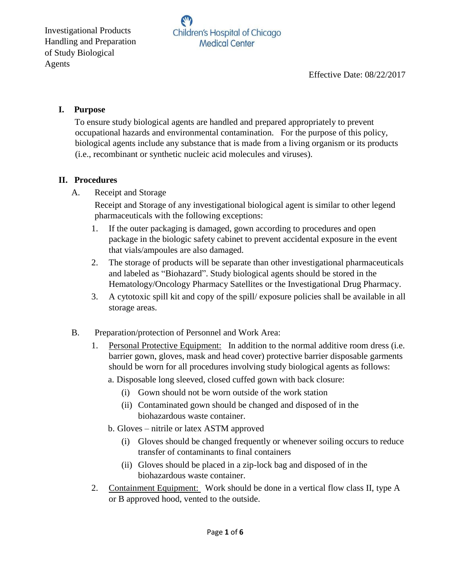## **I. Purpose**

To ensure study biological agents are handled and prepared appropriately to prevent occupational hazards and environmental contamination. For the purpose of this policy, biological agents include any substance that is made from a living organism or its products (i.e., recombinant or synthetic nucleic acid molecules and viruses).

## **II. Procedures**

A. Receipt and Storage

Receipt and Storage of any investigational biological agent is similar to other legend pharmaceuticals with the following exceptions:

- 1. If the outer packaging is damaged, gown according to procedures and open package in the biologic safety cabinet to prevent accidental exposure in the event that vials/ampoules are also damaged.
- 2. The storage of products will be separate than other investigational pharmaceuticals and labeled as "Biohazard". Study biological agents should be stored in the Hematology/Oncology Pharmacy Satellites or the Investigational Drug Pharmacy.
- 3. A cytotoxic spill kit and copy of the spill/ exposure policies shall be available in all storage areas.
- B. Preparation/protection of Personnel and Work Area:
	- 1. Personal Protective Equipment: In addition to the normal additive room dress (i.e. barrier gown, gloves, mask and head cover) protective barrier disposable garments should be worn for all procedures involving study biological agents as follows:
		- a. Disposable long sleeved, closed cuffed gown with back closure:
			- (i) Gown should not be worn outside of the work station
			- (ii) Contaminated gown should be changed and disposed of in the biohazardous waste container.
		- b. Gloves nitrile or latex ASTM approved
			- (i) Gloves should be changed frequently or whenever soiling occurs to reduce transfer of contaminants to final containers
			- (ii) Gloves should be placed in a zip-lock bag and disposed of in the biohazardous waste container.
	- 2. Containment Equipment: Work should be done in a vertical flow class II, type A or B approved hood, vented to the outside.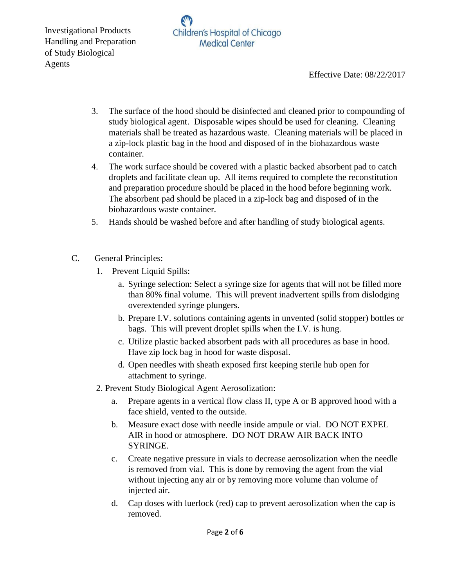

Effective Date: 08/22/2017

- 3. The surface of the hood should be disinfected and cleaned prior to compounding of study biological agent. Disposable wipes should be used for cleaning. Cleaning materials shall be treated as hazardous waste. Cleaning materials will be placed in a zip-lock plastic bag in the hood and disposed of in the biohazardous waste container.
- 4. The work surface should be covered with a plastic backed absorbent pad to catch droplets and facilitate clean up. All items required to complete the reconstitution and preparation procedure should be placed in the hood before beginning work. The absorbent pad should be placed in a zip-lock bag and disposed of in the biohazardous waste container.
- 5. Hands should be washed before and after handling of study biological agents.
- C. General Principles:
	- 1. Prevent Liquid Spills:
		- a. Syringe selection: Select a syringe size for agents that will not be filled more than 80% final volume. This will prevent inadvertent spills from dislodging overextended syringe plungers.
		- b. Prepare I.V. solutions containing agents in unvented (solid stopper) bottles or bags. This will prevent droplet spills when the I.V. is hung.
		- c. Utilize plastic backed absorbent pads with all procedures as base in hood. Have zip lock bag in hood for waste disposal.
		- d. Open needles with sheath exposed first keeping sterile hub open for attachment to syringe.
	- 2. Prevent Study Biological Agent Aerosolization:
		- a. Prepare agents in a vertical flow class II, type A or B approved hood with a face shield, vented to the outside.
		- b. Measure exact dose with needle inside ampule or vial. DO NOT EXPEL AIR in hood or atmosphere. DO NOT DRAW AIR BACK INTO SYRINGE.
		- c. Create negative pressure in vials to decrease aerosolization when the needle is removed from vial. This is done by removing the agent from the vial without injecting any air or by removing more volume than volume of injected air.
		- d. Cap doses with luerlock (red) cap to prevent aerosolization when the cap is removed.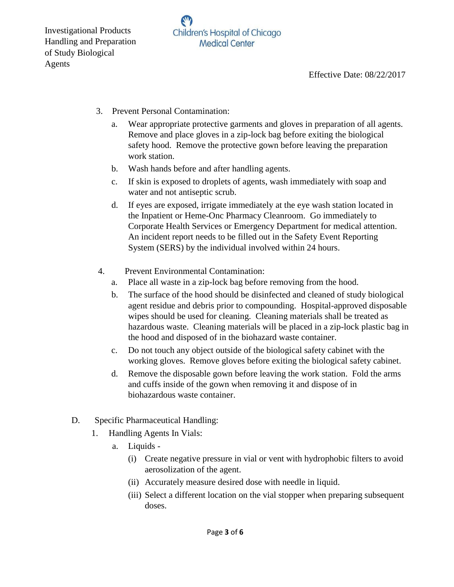- 3. Prevent Personal Contamination:
	- a. Wear appropriate protective garments and gloves in preparation of all agents. Remove and place gloves in a zip-lock bag before exiting the biological safety hood. Remove the protective gown before leaving the preparation work station.
	- b. Wash hands before and after handling agents.
	- c. If skin is exposed to droplets of agents, wash immediately with soap and water and not antiseptic scrub.
	- d. If eyes are exposed, irrigate immediately at the eye wash station located in the Inpatient or Heme-Onc Pharmacy Cleanroom. Go immediately to Corporate Health Services or Emergency Department for medical attention. An incident report needs to be filled out in the Safety Event Reporting System (SERS) by the individual involved within 24 hours.
- 4. Prevent Environmental Contamination:
	- a. Place all waste in a zip-lock bag before removing from the hood.
	- b. The surface of the hood should be disinfected and cleaned of study biological agent residue and debris prior to compounding. Hospital-approved disposable wipes should be used for cleaning. Cleaning materials shall be treated as hazardous waste. Cleaning materials will be placed in a zip-lock plastic bag in the hood and disposed of in the biohazard waste container.
	- c. Do not touch any object outside of the biological safety cabinet with the working gloves. Remove gloves before exiting the biological safety cabinet.
	- d. Remove the disposable gown before leaving the work station. Fold the arms and cuffs inside of the gown when removing it and dispose of in biohazardous waste container.
- D. Specific Pharmaceutical Handling:
	- 1. Handling Agents In Vials:
		- a. Liquids
			- (i) Create negative pressure in vial or vent with hydrophobic filters to avoid aerosolization of the agent.
			- (ii) Accurately measure desired dose with needle in liquid.
			- (iii) Select a different location on the vial stopper when preparing subsequent doses.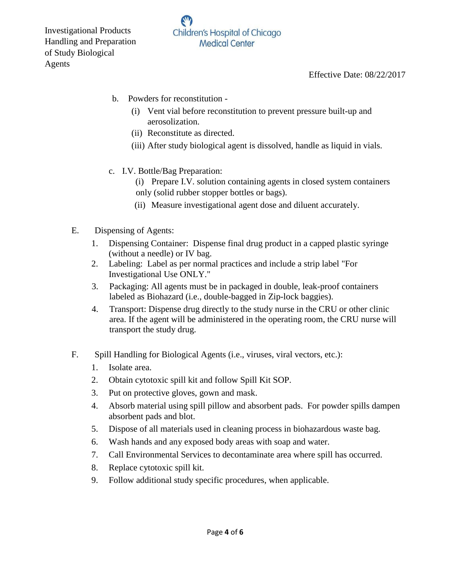- b. Powders for reconstitution
	- (i) Vent vial before reconstitution to prevent pressure built-up and aerosolization.
	- (ii) Reconstitute as directed.
	- (iii) After study biological agent is dissolved, handle as liquid in vials.
- c. I.V. Bottle/Bag Preparation:
	- (i) Prepare I.V. solution containing agents in closed system containers only (solid rubber stopper bottles or bags).
	- (ii) Measure investigational agent dose and diluent accurately.
- E. Dispensing of Agents:
	- 1. Dispensing Container: Dispense final drug product in a capped plastic syringe (without a needle) or IV bag.
	- 2. Labeling: Label as per normal practices and include a strip label "For Investigational Use ONLY."
	- 3. Packaging: All agents must be in packaged in double, leak-proof containers labeled as Biohazard (i.e., double-bagged in Zip-lock baggies).
	- 4. Transport: Dispense drug directly to the study nurse in the CRU or other clinic area. If the agent will be administered in the operating room, the CRU nurse will transport the study drug.
- F. Spill Handling for Biological Agents (i.e., viruses, viral vectors, etc.):
	- 1. Isolate area.
	- 2. Obtain cytotoxic spill kit and follow Spill Kit SOP.
	- 3. Put on protective gloves, gown and mask.
	- 4. Absorb material using spill pillow and absorbent pads. For powder spills dampen absorbent pads and blot.
	- 5. Dispose of all materials used in cleaning process in biohazardous waste bag.
	- 6. Wash hands and any exposed body areas with soap and water.
	- 7. Call Environmental Services to decontaminate area where spill has occurred.
	- 8. Replace cytotoxic spill kit.
	- 9. Follow additional study specific procedures, when applicable.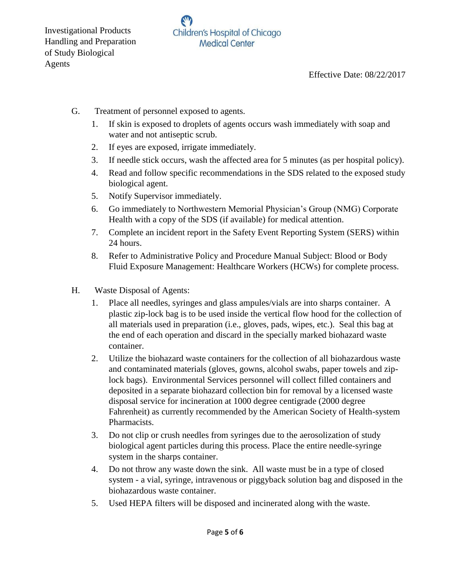Effective Date: 08/22/2017

- G. Treatment of personnel exposed to agents.
	- 1. If skin is exposed to droplets of agents occurs wash immediately with soap and water and not antiseptic scrub.
	- 2. If eyes are exposed, irrigate immediately.
	- 3. If needle stick occurs, wash the affected area for 5 minutes (as per hospital policy).
	- 4. Read and follow specific recommendations in the SDS related to the exposed study biological agent.
	- 5. Notify Supervisor immediately.
	- 6. Go immediately to Northwestern Memorial Physician's Group (NMG) Corporate Health with a copy of the SDS (if available) for medical attention.
	- 7. Complete an incident report in the Safety Event Reporting System (SERS) within 24 hours.
	- 8. Refer to Administrative Policy and Procedure Manual Subject: Blood or Body Fluid Exposure Management: Healthcare Workers (HCWs) for complete process.
- H. Waste Disposal of Agents:
	- 1. Place all needles, syringes and glass ampules/vials are into sharps container. A plastic zip-lock bag is to be used inside the vertical flow hood for the collection of all materials used in preparation (i.e., gloves, pads, wipes, etc.). Seal this bag at the end of each operation and discard in the specially marked biohazard waste container.
	- 2. Utilize the biohazard waste containers for the collection of all biohazardous waste and contaminated materials (gloves, gowns, alcohol swabs, paper towels and ziplock bags). Environmental Services personnel will collect filled containers and deposited in a separate biohazard collection bin for removal by a licensed waste disposal service for incineration at 1000 degree centigrade (2000 degree Fahrenheit) as currently recommended by the American Society of Health-system Pharmacists.
	- 3. Do not clip or crush needles from syringes due to the aerosolization of study biological agent particles during this process. Place the entire needle-syringe system in the sharps container.
	- 4. Do not throw any waste down the sink. All waste must be in a type of closed system - a vial, syringe, intravenous or piggyback solution bag and disposed in the biohazardous waste container.
	- 5. Used HEPA filters will be disposed and incinerated along with the waste.